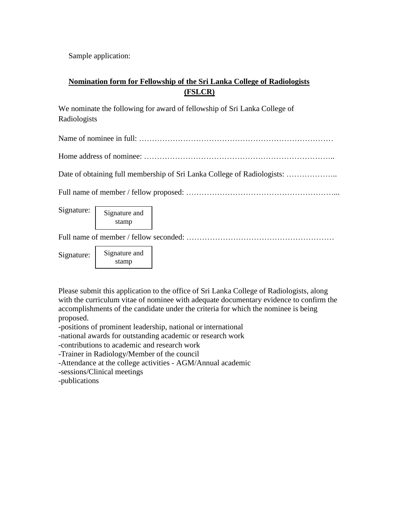Sample application:

## **Nomination form for Fellowship of the Sri Lanka College of Radiologists (FSLCR)**

We nominate the following for award of fellowship of Sri Lanka College of Radiologists

Name of nominee in full: …………………………………………………………………

Home address of nominee: ………………………………………………………………..

Date of obtaining full membership of Sri Lanka College of Radiologists: ………………..

Full name of member / fellow proposed: …………………………………………………...

Signature:

Signature and stamp

Full name of member / fellow seconded: …………………………………………………

Signature:

Signature and stamp

Please submit this application to the office of Sri Lanka College of Radiologists, along with the curriculum vitae of nominee with adequate documentary evidence to confirm the accomplishments of the candidate under the criteria for which the nominee is being proposed.

-positions of prominent leadership, national or international

-national awards for outstanding academic or research work

-contributions to academic and research work

-Trainer in Radiology/Member of the council

-Attendance at the college activities - AGM/Annual academic

-sessions/Clinical meetings

-publications